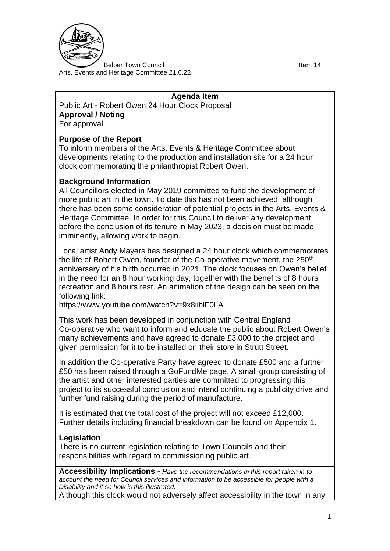

Belper Town Council and the control of the United States of the Item 14 Arts, Events and Heritage Committee 21.6.22

#### **Agenda Item**

Public Art - Robert Owen 24 Hour Clock Proposal

**Approval / Noting**

For approval

## **Purpose of the Report**

To inform members of the Arts, Events & Heritage Committee about developments relating to the production and installation site for a 24 hour clock commemorating the philanthropist Robert Owen.

### **Background Information**

All Councillors elected in May 2019 committed to fund the development of more public art in the town. To date this has not been achieved, although there has been some consideration of potential projects in the Arts, Events & Heritage Committee. In order for this Council to deliver any development before the conclusion of its tenure in May 2023, a decision must be made imminently, allowing work to begin.

Local artist Andy Mayers has designed a 24 hour clock which commemorates the life of Robert Owen, founder of the Co-operative movement, the 250<sup>th</sup> anniversary of his birth occurred in 2021. The clock focuses on Owen's belief in the need for an 8 hour working day, together with the benefits of 8 hours recreation and 8 hours rest. An animation of the design can be seen on the following link:

https://www.youtube.com/watch?v=9x8iiblF0LA

This work has been developed in conjunction with Central England Co-operative who want to inform and educate the public about Robert Owen's many achievements and have agreed to donate £3,000 to the project and given permission for it to be installed on their store in Strutt Street.

In addition the Co-operative Party have agreed to donate £500 and a further £50 has been raised through a GoFundMe page. A small group consisting of the artist and other interested parties are committed to progressing this project to its successful conclusion and intend continuing a publicity drive and further fund raising during the period of manufacture.

It is estimated that the total cost of the project will not exceed £12,000. Further details including financial breakdown can be found on Appendix 1.

### **Legislation**

There is no current legislation relating to Town Councils and their responsibilities with regard to commissioning public art.

**Accessibility Implications -** *Have the recommendations in this report taken in to account the need for Council services and information to be accessible for people with a Disability and if so how is this illustrated.*

Although this clock would not adversely affect accessibility in the town in any